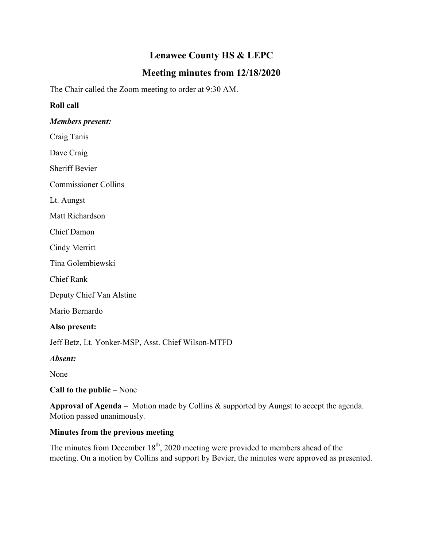# **Lenawee County HS & LEPC**

# **Meeting minutes from 12/18/2020**

The Chair called the Zoom meeting to order at 9:30 AM.

#### **Roll call**

#### *Members present:*

Craig Tanis

Dave Craig

Sheriff Bevier

Commissioner Collins

Lt. Aungst

Matt Richardson

Chief Damon

Cindy Merritt

Tina Golembiewski

Chief Rank

Deputy Chief Van Alstine

Mario Bernardo

#### **Also present:**

Jeff Betz, Lt. Yonker-MSP, Asst. Chief Wilson-MTFD

*Absent:*

None

**Call to the public** – None

**Approval of Agenda** – Motion made by Collins & supported by Aungst to accept the agenda. Motion passed unanimously.

## **Minutes from the previous meeting**

The minutes from December  $18<sup>th</sup>$ , 2020 meeting were provided to members ahead of the meeting. On a motion by Collins and support by Bevier, the minutes were approved as presented.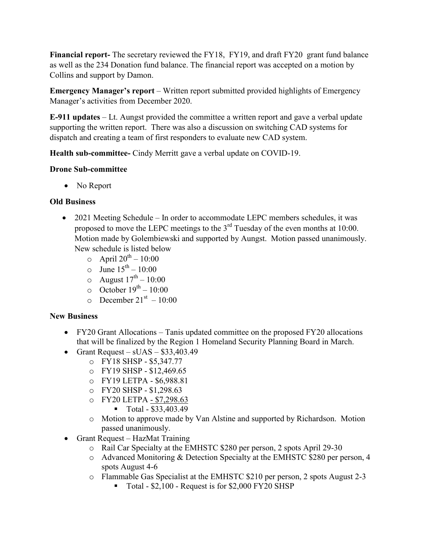**Financial report-** The secretary reviewed the FY18, FY19, and draft FY20 grant fund balance as well as the 234 Donation fund balance. The financial report was accepted on a motion by Collins and support by Damon.

**Emergency Manager's report** – Written report submitted provided highlights of Emergency Manager's activities from December 2020.

**E-911 updates** – Lt. Aungst provided the committee a written report and gave a verbal update supporting the written report. There was also a discussion on switching CAD systems for dispatch and creating a team of first responders to evaluate new CAD system.

**Health sub-committee-** Cindy Merritt gave a verbal update on COVID-19.

### **Drone Sub-committee**

• No Report

### **Old Business**

- 2021 Meeting Schedule In order to accommodate LEPC members schedules, it was proposed to move the LEPC meetings to the  $3<sup>rd</sup>$  Tuesday of the even months at 10:00. Motion made by Golembiewski and supported by Aungst. Motion passed unanimously. New schedule is listed below
	- $\circ$  April 20<sup>th</sup> 10:00
	- $\circ$  June  $15^{\text{th}} 10:00$
	- $\circ$  August  $17^{\text{th}} 10:00$
	- $\circ$  October  $19^{th} 10:00$
	- $\circ$  December 21<sup>st</sup> 10:00

#### **New Business**

- FY20 Grant Allocations Tanis updated committee on the proposed FY20 allocations that will be finalized by the Region 1 Homeland Security Planning Board in March.
- Grant Request  $sUAS $33,403.49$ 
	- o FY18 SHSP \$5,347.77
	- o FY19 SHSP \$12,469.65
	- o FY19 LETPA \$6,988.81
	- o FY20 SHSP \$1,298.63
	- o FY20 LETPA \$7,298.63
		- $\blacksquare$  Total \$33,403.49
	- o Motion to approve made by Van Alstine and supported by Richardson. Motion passed unanimously.
- Grant Request HazMat Training
	- o Rail Car Specialty at the EMHSTC \$280 per person, 2 spots April 29-30
	- o Advanced Monitoring & Detection Specialty at the EMHSTC \$280 per person, 4 spots August 4-6
	- o Flammable Gas Specialist at the EMHSTC \$210 per person, 2 spots August 2-3
		- $\blacksquare$  Total \$2,100 Request is for \$2,000 FY20 SHSP